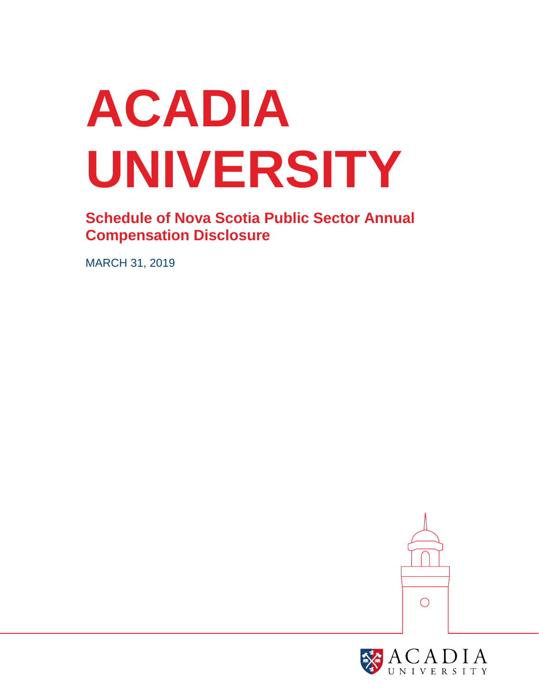# **ACADIA UNIVERSITY**

**Schedule of Nova Scotia Public Sector Annual Compensation Disclosure**

MARCH 31, 2019



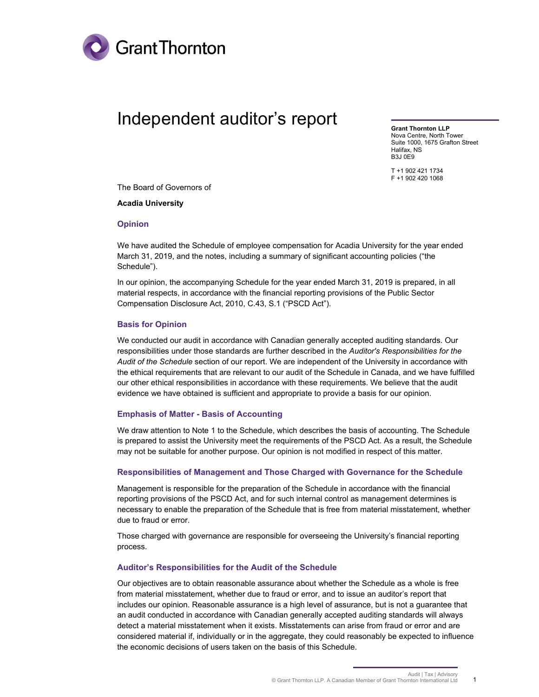

# Independent auditor's report

**Grant Thornton LLP**  Nova Centre, North Tower Suite 1000, 1675 Grafton Street Halifax, NS B3J 0E9

T +1 902 421 1734 F +1 902 420 1068

The Board of Governors of

#### **Acadia University**

#### **Opinion**

We have audited the Schedule of employee compensation for Acadia University for the year ended March 31, 2019, and the notes, including a summary of significant accounting policies ("the Schedule").

In our opinion, the accompanying Schedule for the year ended March 31, 2019 is prepared, in all material respects, in accordance with the financial reporting provisions of the Public Sector Compensation Disclosure Act, 2010, C.43, S.1 ("PSCD Act").

#### **Basis for Opinion**

We conducted our audit in accordance with Canadian generally accepted auditing standards. Our responsibilities under those standards are further described in the *Auditor's Responsibilities for the Audit of the Schedule* section of our report. We are independent of the University in accordance with the ethical requirements that are relevant to our audit of the Schedule in Canada, and we have fulfilled our other ethical responsibilities in accordance with these requirements. We believe that the audit evidence we have obtained is sufficient and appropriate to provide a basis for our opinion.

#### **Emphasis of Matter - Basis of Accounting**

We draw attention to Note 1 to the Schedule, which describes the basis of accounting. The Schedule is prepared to assist the University meet the requirements of the PSCD Act. As a result, the Schedule may not be suitable for another purpose. Our opinion is not modified in respect of this matter.

#### **Responsibilities of Management and Those Charged with Governance for the Schedule**

Management is responsible for the preparation of the Schedule in accordance with the financial reporting provisions of the PSCD Act, and for such internal control as management determines is necessary to enable the preparation of the Schedule that is free from material misstatement, whether due to fraud or error.

Those charged with governance are responsible for overseeing the University's financial reporting process.

#### **Auditor's Responsibilities for the Audit of the Schedule**

Our objectives are to obtain reasonable assurance about whether the Schedule as a whole is free from material misstatement, whether due to fraud or error, and to issue an auditor's report that includes our opinion. Reasonable assurance is a high level of assurance, but is not a guarantee that an audit conducted in accordance with Canadian generally accepted auditing standards will always detect a material misstatement when it exists. Misstatements can arise from fraud or error and are considered material if, individually or in the aggregate, they could reasonably be expected to influence the economic decisions of users taken on the basis of this Schedule.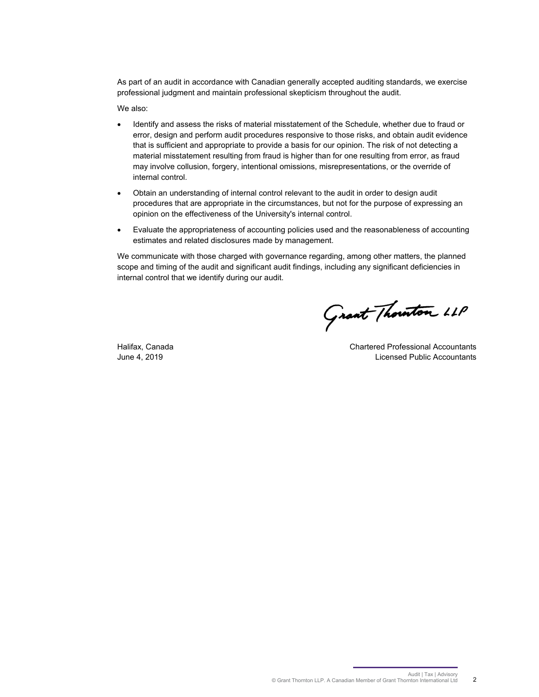As part of an audit in accordance with Canadian generally accepted auditing standards, we exercise professional judgment and maintain professional skepticism throughout the audit.

We also:

- Identify and assess the risks of material misstatement of the Schedule, whether due to fraud or error, design and perform audit procedures responsive to those risks, and obtain audit evidence that is sufficient and appropriate to provide a basis for our opinion. The risk of not detecting a material misstatement resulting from fraud is higher than for one resulting from error, as fraud may involve collusion, forgery, intentional omissions, misrepresentations, or the override of internal control.
- Obtain an understanding of internal control relevant to the audit in order to design audit procedures that are appropriate in the circumstances, but not for the purpose of expressing an opinion on the effectiveness of the University's internal control.
- Evaluate the appropriateness of accounting policies used and the reasonableness of accounting estimates and related disclosures made by management.

We communicate with those charged with governance regarding, among other matters, the planned scope and timing of the audit and significant audit findings, including any significant deficiencies in internal control that we identify during our audit.

Grant Thouton LLP

Halifax, Canada Chartered Professional Accountants June 4, 2019 Licensed Public Accountants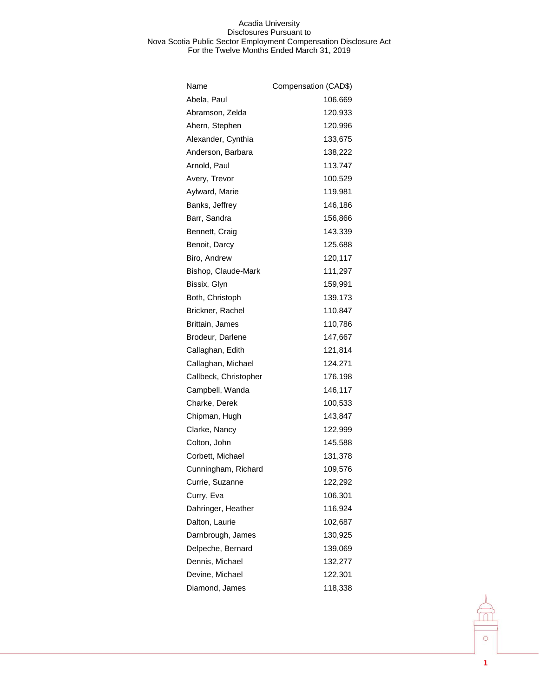| Name                  | Compensation (CAD\$) |
|-----------------------|----------------------|
| Abela, Paul           | 106,669              |
| Abramson, Zelda       | 120,933              |
| Ahern, Stephen        | 120,996              |
| Alexander, Cynthia    | 133,675              |
| Anderson, Barbara     | 138,222              |
| Arnold, Paul          | 113,747              |
| Avery, Trevor         | 100,529              |
| Aylward, Marie        | 119,981              |
| Banks, Jeffrey        | 146,186              |
| Barr, Sandra          | 156,866              |
| Bennett, Craig        | 143,339              |
| Benoit, Darcy         | 125,688              |
| Biro, Andrew          | 120,117              |
| Bishop, Claude-Mark   | 111,297              |
| Bissix, Glyn          | 159,991              |
| Both, Christoph       | 139,173              |
| Brickner, Rachel      | 110,847              |
| Brittain, James       | 110,786              |
| Brodeur, Darlene      | 147,667              |
| Callaghan, Edith      | 121,814              |
| Callaghan, Michael    | 124,271              |
| Callbeck, Christopher | 176,198              |
| Campbell, Wanda       | 146,117              |
| Charke, Derek         | 100,533              |
| Chipman, Hugh         | 143,847              |
| Clarke, Nancy         | 122,999              |
| Colton, John          | 145,588              |
| Corbett, Michael      | 131,378              |
| Cunningham, Richard   | 109,576              |
| Currie, Suzanne       | 122,292              |
| Curry, Eva            | 106,301              |
| Dahringer, Heather    | 116,924              |
| Dalton, Laurie        | 102,687              |
| Darnbrough, James     | 130,925              |
| Delpeche, Bernard     | 139,069              |
| Dennis, Michael       | 132,277              |
| Devine, Michael       | 122,301              |
| Diamond, James        | 118,338              |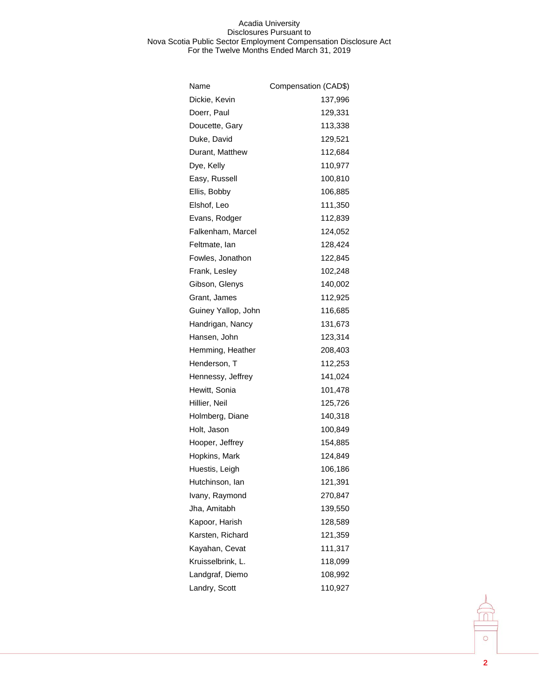| Name                | Compensation (CAD\$) |
|---------------------|----------------------|
| Dickie, Kevin       | 137,996              |
| Doerr, Paul         | 129,331              |
| Doucette, Gary      | 113,338              |
| Duke, David         | 129,521              |
| Durant, Matthew     | 112,684              |
| Dye, Kelly          | 110,977              |
| Easy, Russell       | 100,810              |
| Ellis, Bobby        | 106,885              |
| Elshof, Leo         | 111,350              |
| Evans, Rodger       | 112,839              |
| Falkenham, Marcel   | 124,052              |
| Feltmate, Ian       | 128,424              |
| Fowles, Jonathon    | 122,845              |
| Frank, Lesley       | 102,248              |
| Gibson, Glenys      | 140,002              |
| Grant, James        | 112,925              |
| Guiney Yallop, John | 116,685              |
| Handrigan, Nancy    | 131,673              |
| Hansen, John        | 123,314              |
| Hemming, Heather    | 208,403              |
| Henderson, T        | 112,253              |
| Hennessy, Jeffrey   | 141,024              |
| Hewitt, Sonia       | 101,478              |
| Hillier, Neil       | 125,726              |
| Holmberg, Diane     | 140,318              |
| Holt, Jason         | 100,849              |
| Hooper, Jeffrey     | 154,885              |
| Hopkins, Mark       | 124,849              |
| Huestis, Leigh      | 106,186              |
| Hutchinson, lan     | 121,391              |
| Ivany, Raymond      | 270,847              |
| Jha, Amitabh        | 139,550              |
| Kapoor, Harish      | 128,589              |
| Karsten, Richard    | 121,359              |
| Kayahan, Cevat      | 111,317              |
| Kruisselbrink, L.   | 118,099              |
| Landgraf, Diemo     | 108,992              |
| Landry, Scott       | 110,927              |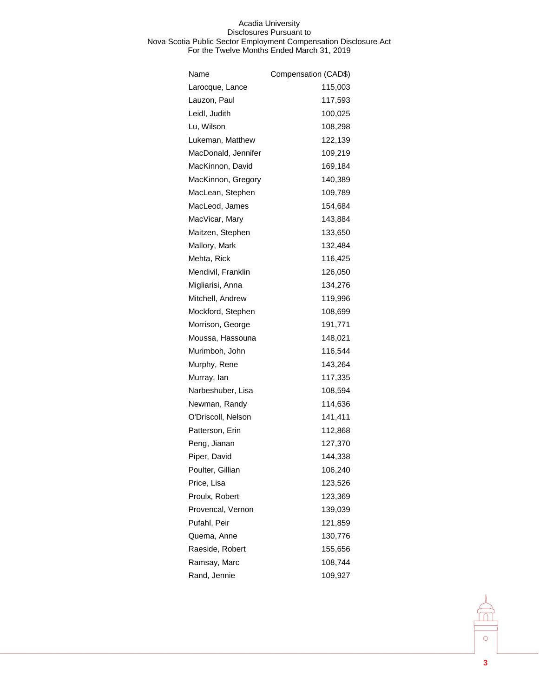| Name                | Compensation (CAD\$) |
|---------------------|----------------------|
| Larocque, Lance     | 115,003              |
| Lauzon, Paul        | 117,593              |
| Leidl, Judith       | 100,025              |
| Lu, Wilson          | 108,298              |
| Lukeman, Matthew    | 122,139              |
| MacDonald, Jennifer | 109,219              |
| MacKinnon, David    | 169,184              |
| MacKinnon, Gregory  | 140,389              |
| MacLean, Stephen    | 109,789              |
| MacLeod, James      | 154,684              |
| MacVicar, Mary      | 143,884              |
| Maitzen, Stephen    | 133,650              |
| Mallory, Mark       | 132,484              |
| Mehta, Rick         | 116,425              |
| Mendivil, Franklin  | 126,050              |
| Migliarisi, Anna    | 134,276              |
| Mitchell, Andrew    | 119,996              |
| Mockford, Stephen   | 108,699              |
| Morrison, George    | 191,771              |
| Moussa, Hassouna    | 148,021              |
| Murimboh, John      | 116,544              |
| Murphy, Rene        | 143,264              |
| Murray, lan         | 117,335              |
| Narbeshuber, Lisa   | 108,594              |
| Newman, Randy       | 114,636              |
| O'Driscoll, Nelson  | 141,411              |
| Patterson, Erin     | 112,868              |
| Peng, Jianan        | 127,370              |
| Piper, David        | 144,338              |
| Poulter, Gillian    | 106,240              |
| Price, Lisa         | 123,526              |
| Proulx, Robert      | 123,369              |
| Provencal, Vernon   | 139,039              |
| Pufahl, Peir        | 121,859              |
| Quema, Anne         | 130,776              |
| Raeside, Robert     | 155,656              |
| Ramsay, Marc        | 108,744              |
| Rand, Jennie        | 109,927              |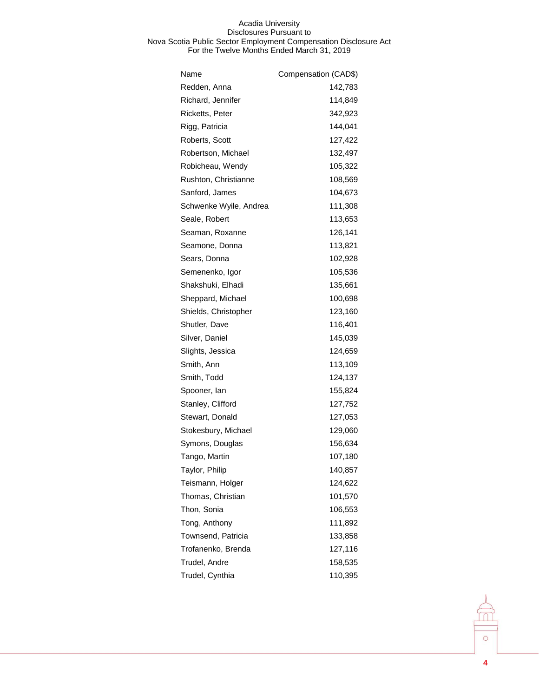| Name                   | Compensation (CAD\$) |
|------------------------|----------------------|
| Redden, Anna           | 142,783              |
| Richard, Jennifer      | 114,849              |
| Ricketts, Peter        | 342,923              |
| Rigg, Patricia         | 144,041              |
| Roberts, Scott         | 127,422              |
| Robertson, Michael     | 132,497              |
| Robicheau, Wendy       | 105,322              |
| Rushton, Christianne   | 108,569              |
| Sanford, James         | 104,673              |
| Schwenke Wyile, Andrea | 111,308              |
| Seale, Robert          | 113,653              |
| Seaman, Roxanne        | 126,141              |
| Seamone, Donna         | 113,821              |
| Sears, Donna           | 102,928              |
| Semenenko, Igor        | 105,536              |
| Shakshuki, Elhadi      | 135,661              |
| Sheppard, Michael      | 100,698              |
| Shields, Christopher   | 123,160              |
| Shutler, Dave          | 116,401              |
| Silver, Daniel         | 145,039              |
| Slights, Jessica       | 124,659              |
| Smith, Ann             | 113,109              |
| Smith, Todd            | 124,137              |
| Spooner, lan           | 155,824              |
| Stanley, Clifford      | 127,752              |
| Stewart, Donald        | 127,053              |
| Stokesbury, Michael    | 129,060              |
| Symons, Douglas        | 156,634              |
| Tango, Martin          | 107,180              |
| Taylor, Philip         | 140,857              |
| Teismann, Holger       | 124,622              |
| Thomas, Christian      | 101,570              |
| Thon, Sonia            | 106,553              |
| Tong, Anthony          | 111,892              |
| Townsend, Patricia     | 133,858              |
| Trofanenko, Brenda     | 127,116              |
| Trudel, Andre          | 158,535              |
| Trudel, Cynthia        | 110,395              |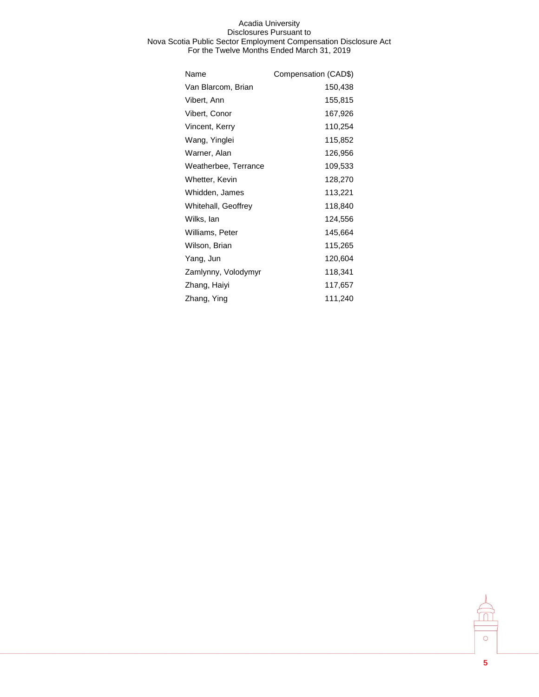| Name                 | Compensation (CAD\$) |
|----------------------|----------------------|
| Van Blarcom, Brian   | 150,438              |
| Vibert, Ann          | 155,815              |
| Vibert, Conor        | 167,926              |
| Vincent, Kerry       | 110,254              |
| Wang, Yinglei        | 115,852              |
| Warner, Alan         | 126,956              |
| Weatherbee, Terrance | 109,533              |
| Whetter, Kevin       | 128,270              |
| Whidden, James       | 113,221              |
| Whitehall, Geoffrey  | 118,840              |
| Wilks, lan           | 124,556              |
| Williams, Peter      | 145,664              |
| Wilson, Brian        | 115,265              |
| Yang, Jun            | 120,604              |
| Zamlynny, Volodymyr  | 118,341              |
| Zhang, Haiyi         | 117,657              |
| Zhang, Ying          | 111,240              |